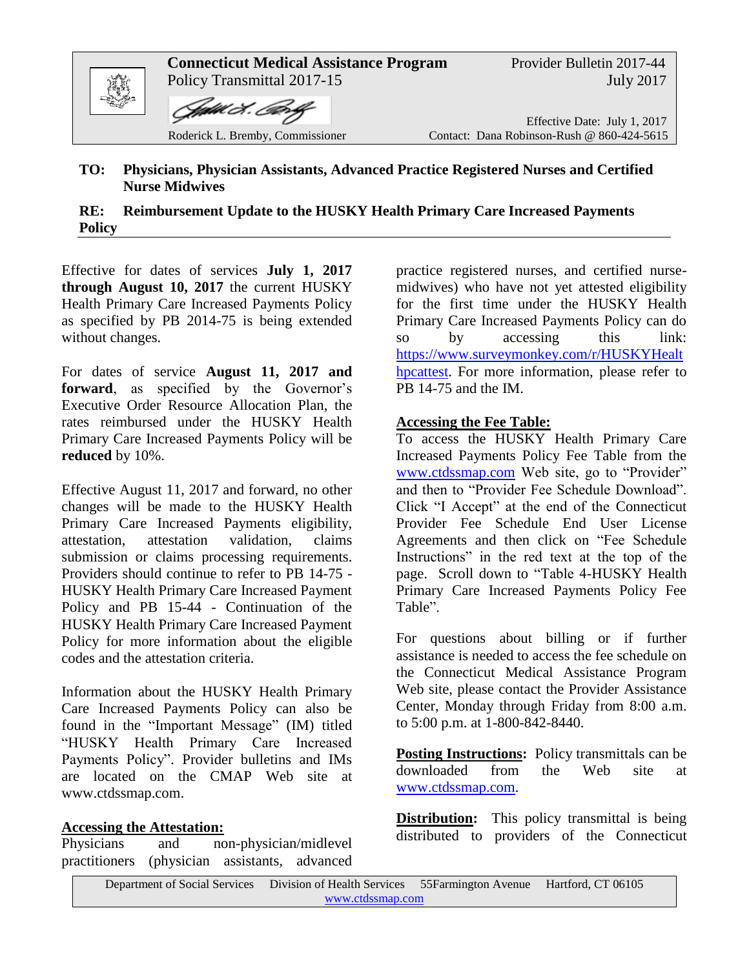

## **TO: Physicians, Physician Assistants, Advanced Practice Registered Nurses and Certified Nurse Midwives**

**RE: Reimbursement Update to the HUSKY Health Primary Care Increased Payments Policy**

Effective for dates of services **July 1, 2017 through August 10, 2017** the current HUSKY Health Primary Care Increased Payments Policy as specified by PB 2014-75 is being extended without changes.

For dates of service **August 11, 2017 and forward**, as specified by the Governor's Executive Order Resource Allocation Plan, the rates reimbursed under the HUSKY Health Primary Care Increased Payments Policy will be **reduced** by 10%.

Effective August 11, 2017 and forward, no other changes will be made to the HUSKY Health Primary Care Increased Payments eligibility, attestation, attestation validation, claims submission or claims processing requirements. Providers should continue to refer to PB 14-75 - HUSKY Health Primary Care Increased Payment Policy and PB 15-44 - Continuation of the HUSKY Health Primary Care Increased Payment Policy for more information about the eligible codes and the attestation criteria.

Information about the HUSKY Health Primary Care Increased Payments Policy can also be found in the "Important Message" (IM) titled "HUSKY Health Primary Care Increased Payments Policy". Provider bulletins and IMs are located on the CMAP Web site at www.ctdssmap.com.

## **Accessing the Attestation:**

Physicians and non-physician/midlevel practitioners (physician assistants, advanced practice registered nurses, and certified nursemidwives) who have not yet attested eligibility for the first time under the HUSKY Health Primary Care Increased Payments Policy can do so by accessing this link: [https://www.surveymonkey.com/r/HUSKYHealt](https://www.surveymonkey.com/r/HUSKYHealthpcattest) [hpcattest.](https://www.surveymonkey.com/r/HUSKYHealthpcattest) For more information, please refer to PB 14-75 and the IM.

## **Accessing the Fee Table:**

To access the HUSKY Health Primary Care Increased Payments Policy Fee Table from the [www.ctdssmap.com](http://www.ctdssmap.com/) Web site, go to "Provider" and then to "Provider Fee Schedule Download". Click "I Accept" at the end of the Connecticut Provider Fee Schedule End User License Agreements and then click on "Fee Schedule Instructions" in the red text at the top of the page. Scroll down to "Table 4-HUSKY Health Primary Care Increased Payments Policy Fee Table".

For questions about billing or if further assistance is needed to access the fee schedule on the Connecticut Medical Assistance Program Web site, please contact the Provider Assistance Center, Monday through Friday from 8:00 a.m. to 5:00 p.m. at 1-800-842-8440.

**Posting Instructions:** Policy transmittals can be downloaded from the Web site at [www.ctdssmap.com.](http://www.ctdssmap.com/)

**Distribution:** This policy transmittal is being distributed to providers of the Connecticut